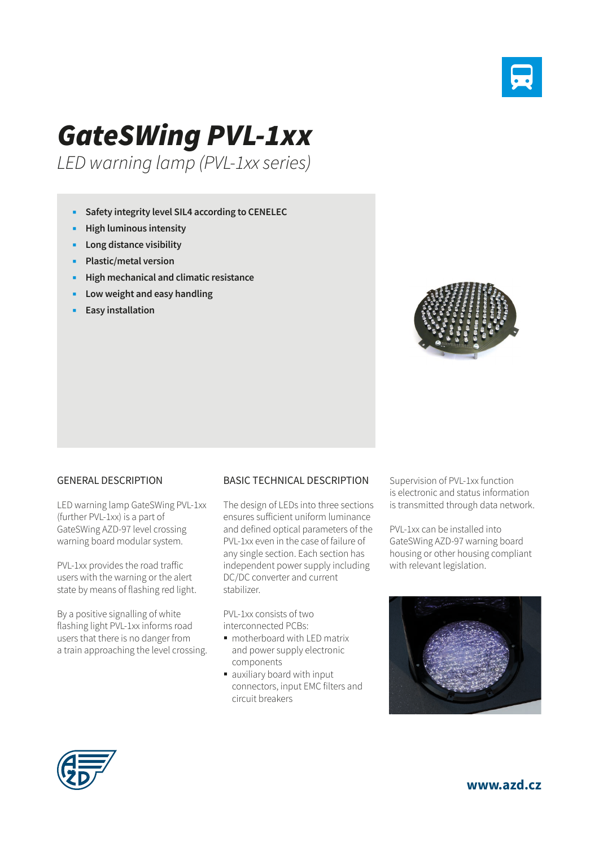

## *GateSWing PVL-1xx*

*LED warning lamp (PVL-1xx series)*

- **Safety integrity level SIL4 according to CENELEC**
- **High luminous intensity**
- **Long distance visibility**
- **Plastic/metal version**
- **High mechanical and climatic resistance**
- **Low weight and easy handling**
- **Easy installation**



## GENERAL DESCRIPTION

LED warning lamp GateSWing PVL-1xx (further PVL-1xx) is a part of GateSWing AZD-97 level crossing warning board modular system.

PVL-1xx provides the road traffic users with the warning or the alert state by means of flashing red light.

By a positive signalling of white flashing light PVL-1xx informs road users that there is no danger from a train approaching the level crossing.

## BASIC TECHNICAL DESCRIPTION

The design of LEDs into three sections ensures sufficient uniform luminance and defined optical parameters of the PVL-1xx even in the case of failure of any single section. Each section has independent power supply including DC/DC converter and current stabilizer.

PVL-1xx consists of two interconnected PCBs:

- motherboard with LED matrix and power supply electronic components
- auxiliary board with input connectors, input EMC filters and circuit breakers

Supervision of PVL-1xx function is electronic and status information is transmitted through data network.

PVL-1xx can be installed into GateSWing AZD-97 warning board housing or other housing compliant with relevant legislation.





**www.azd.cz**